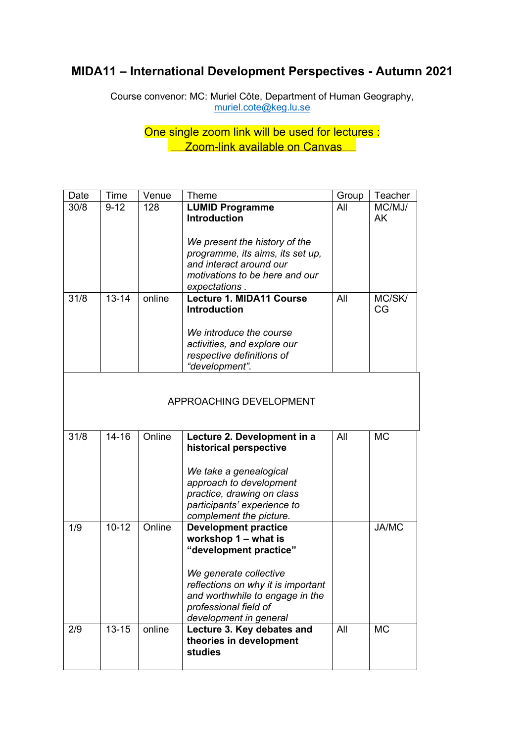# **MIDA11 – International Development Perspectives - Autumn 2021**

Course convenor: MC: Muriel Côte, Department of Human Geography, muriel.cote@keg.lu.se

> One single zoom link will be used for lectures : **Zoom-link available on Canvas**

| Date | <b>Time</b>             | Venue  | Theme                              | Group | Teacher      |  |  |  |  |
|------|-------------------------|--------|------------------------------------|-------|--------------|--|--|--|--|
| 30/8 | $9 - 12$                | 128    | <b>LUMID Programme</b>             | All   | MC/MJ/       |  |  |  |  |
|      |                         |        | <b>Introduction</b>                |       | AK           |  |  |  |  |
|      |                         |        |                                    |       |              |  |  |  |  |
|      |                         |        | We present the history of the      |       |              |  |  |  |  |
|      |                         |        | programme, its aims, its set up,   |       |              |  |  |  |  |
|      |                         |        | and interact around our            |       |              |  |  |  |  |
|      |                         |        | motivations to be here and our     |       |              |  |  |  |  |
|      |                         |        | expectations.                      |       |              |  |  |  |  |
| 31/8 | $13 - 14$               | online | Lecture 1. MIDA11 Course           | All   | MC/SK/       |  |  |  |  |
|      |                         |        | <b>Introduction</b>                |       | CG           |  |  |  |  |
|      |                         |        |                                    |       |              |  |  |  |  |
|      |                         |        | We introduce the course            |       |              |  |  |  |  |
|      |                         |        | activities, and explore our        |       |              |  |  |  |  |
|      |                         |        | respective definitions of          |       |              |  |  |  |  |
|      |                         |        | "development".                     |       |              |  |  |  |  |
|      |                         |        |                                    |       |              |  |  |  |  |
|      |                         |        |                                    |       |              |  |  |  |  |
|      | APPROACHING DEVELOPMENT |        |                                    |       |              |  |  |  |  |
|      |                         |        |                                    |       |              |  |  |  |  |
| 31/8 | $14 - 16$               | Online | Lecture 2. Development in a        | All   | <b>MC</b>    |  |  |  |  |
|      |                         |        | historical perspective             |       |              |  |  |  |  |
|      |                         |        |                                    |       |              |  |  |  |  |
|      |                         |        | We take a genealogical             |       |              |  |  |  |  |
|      |                         |        | approach to development            |       |              |  |  |  |  |
|      |                         |        | practice, drawing on class         |       |              |  |  |  |  |
|      |                         |        | participants' experience to        |       |              |  |  |  |  |
|      |                         |        | complement the picture.            |       |              |  |  |  |  |
| 1/9  | $10 - 12$               | Online | <b>Development practice</b>        |       | <b>JA/MC</b> |  |  |  |  |
|      |                         |        | workshop 1 - what is               |       |              |  |  |  |  |
|      |                         |        | "development practice"             |       |              |  |  |  |  |
|      |                         |        |                                    |       |              |  |  |  |  |
|      |                         |        | We generate collective             |       |              |  |  |  |  |
|      |                         |        | reflections on why it is important |       |              |  |  |  |  |
|      |                         |        | and worthwhile to engage in the    |       |              |  |  |  |  |
|      |                         |        | professional field of              |       |              |  |  |  |  |
|      |                         |        | development in general             |       |              |  |  |  |  |
| 2/9  | $13 - 15$               | online | Lecture 3. Key debates and         | All   | <b>MC</b>    |  |  |  |  |
|      |                         |        | theories in development            |       |              |  |  |  |  |
|      |                         |        | studies                            |       |              |  |  |  |  |
|      |                         |        |                                    |       |              |  |  |  |  |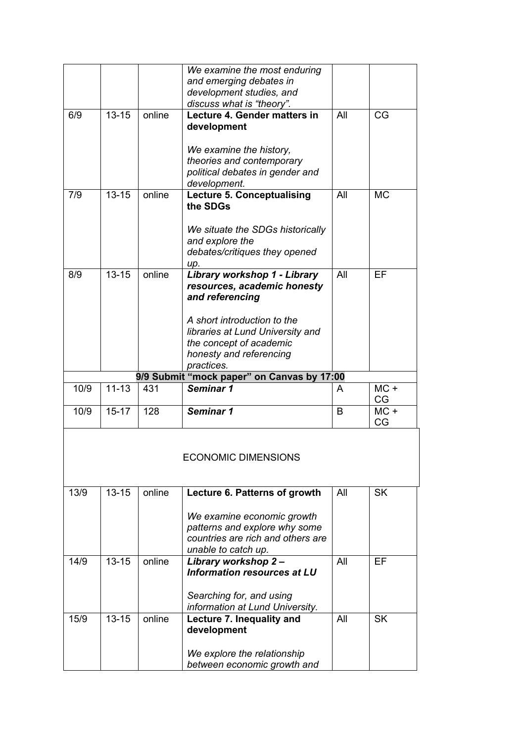|      |           |        | We examine the most enduring                               |     |           |
|------|-----------|--------|------------------------------------------------------------|-----|-----------|
|      |           |        | and emerging debates in                                    |     |           |
|      |           |        | development studies, and                                   |     |           |
|      |           |        | discuss what is "theory".                                  |     |           |
| 6/9  | $13 - 15$ | online | Lecture 4. Gender matters in                               | All | CG        |
|      |           |        |                                                            |     |           |
|      |           |        | development                                                |     |           |
|      |           |        |                                                            |     |           |
|      |           |        | We examine the history,                                    |     |           |
|      |           |        | theories and contemporary                                  |     |           |
|      |           |        |                                                            |     |           |
|      |           |        | political debates in gender and                            |     |           |
|      |           |        | development.                                               |     |           |
| 7/9  | $13 - 15$ | online | Lecture 5. Conceptualising                                 | All | <b>MC</b> |
|      |           |        | the SDGs                                                   |     |           |
|      |           |        |                                                            |     |           |
|      |           |        |                                                            |     |           |
|      |           |        | We situate the SDGs historically                           |     |           |
|      |           |        | and explore the                                            |     |           |
|      |           |        | debates/critiques they opened                              |     |           |
|      |           |        | up.                                                        |     |           |
| 8/9  | $13 - 15$ | online | Library workshop 1 - Library                               | All | EF        |
|      |           |        |                                                            |     |           |
|      |           |        | resources, academic honesty                                |     |           |
|      |           |        | and referencing                                            |     |           |
|      |           |        |                                                            |     |           |
|      |           |        | A short introduction to the                                |     |           |
|      |           |        | libraries at Lund University and                           |     |           |
|      |           |        |                                                            |     |           |
|      |           |        | the concept of academic                                    |     |           |
|      |           |        |                                                            |     |           |
|      |           |        | honesty and referencing                                    |     |           |
|      |           |        | practices.                                                 |     |           |
|      |           |        | 9/9 Submit "mock paper" on Canvas by 17:00                 |     |           |
| 10/9 | $11 - 13$ | 431    | Seminar 1                                                  | A   | $MC +$    |
|      |           |        |                                                            |     | CG        |
|      |           |        |                                                            | B   |           |
| 10/9 | $15 - 17$ | 128    | Seminar 1                                                  |     | $MC +$    |
|      |           |        |                                                            |     | CG        |
|      |           |        | <b>ECONOMIC DIMENSIONS</b>                                 |     |           |
|      |           |        |                                                            |     |           |
| 13/9 | $13 - 15$ | online | Lecture 6. Patterns of growth                              | All | <b>SK</b> |
|      |           |        |                                                            |     |           |
|      |           |        | We examine economic growth                                 |     |           |
|      |           |        |                                                            |     |           |
|      |           |        | patterns and explore why some                              |     |           |
|      |           |        | countries are rich and others are                          |     |           |
|      |           |        | unable to catch up.                                        |     |           |
|      | $13 - 15$ | online | Library workshop 2-                                        | All | EF        |
| 14/9 |           |        | <b>Information resources at LU</b>                         |     |           |
|      |           |        |                                                            |     |           |
|      |           |        |                                                            |     |           |
|      |           |        | Searching for, and using                                   |     |           |
|      |           |        | information at Lund University.                            |     |           |
| 15/9 | $13 - 15$ | online | Lecture 7. Inequality and                                  | All | <b>SK</b> |
|      |           |        |                                                            |     |           |
|      |           |        | development                                                |     |           |
|      |           |        |                                                            |     |           |
|      |           |        | We explore the relationship<br>between economic growth and |     |           |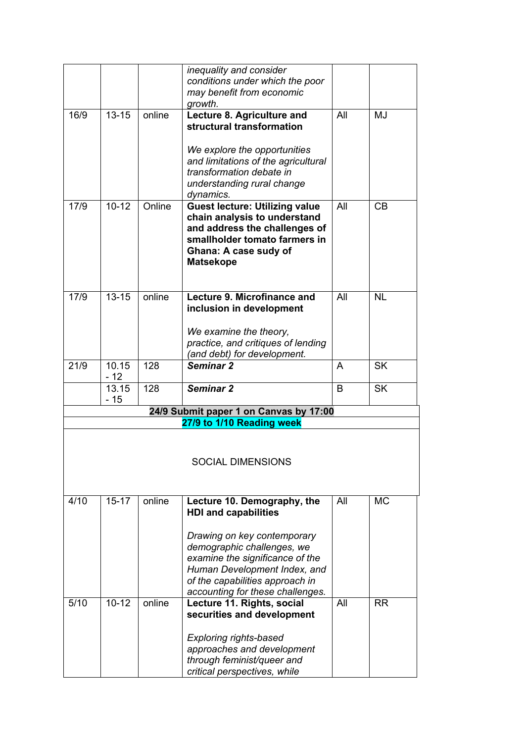|      |                      |        | inequality and consider                |     |           |
|------|----------------------|--------|----------------------------------------|-----|-----------|
|      |                      |        | conditions under which the poor        |     |           |
|      |                      |        | may benefit from economic              |     |           |
|      |                      |        | growth.                                |     |           |
| 16/9 | $13 - 15$            | online | Lecture 8. Agriculture and             | All | MJ        |
|      |                      |        | structural transformation              |     |           |
|      |                      |        |                                        |     |           |
|      |                      |        | We explore the opportunities           |     |           |
|      |                      |        | and limitations of the agricultural    |     |           |
|      |                      |        | transformation debate in               |     |           |
|      |                      |        | understanding rural change             |     |           |
|      |                      |        | dynamics.                              |     |           |
| 17/9 | $10 - 12$            | Online | <b>Guest lecture: Utilizing value</b>  | All | CB        |
|      |                      |        | chain analysis to understand           |     |           |
|      |                      |        | and address the challenges of          |     |           |
|      |                      |        | smallholder tomato farmers in          |     |           |
|      |                      |        | <b>Ghana: A case sudy of</b>           |     |           |
|      |                      |        | <b>Matsekope</b>                       |     |           |
|      |                      |        |                                        |     |           |
|      |                      |        |                                        |     |           |
| 17/9 | $13 - 15$            | online | Lecture 9. Microfinance and            | All | <b>NL</b> |
|      |                      |        | inclusion in development               |     |           |
|      |                      |        |                                        |     |           |
|      |                      |        | We examine the theory,                 |     |           |
|      |                      |        | practice, and critiques of lending     |     |           |
|      |                      |        | (and debt) for development.            |     |           |
| 21/9 | 10.15                | 128    | Seminar 2                              | A   | <b>SK</b> |
|      | $-12$                |        |                                        |     |           |
|      | 13.15                | 128    | Seminar 2                              | B   | <b>SK</b> |
|      | $-15$                |        |                                        |     |           |
|      |                      |        | 24/9 Submit paper 1 on Canvas by 17:00 |     |           |
|      |                      |        | 27/9 to 1/10 Reading week              |     |           |
|      |                      |        |                                        |     |           |
|      |                      |        |                                        |     |           |
|      |                      |        | SOCIAL DIMENSIONS                      |     |           |
|      |                      |        |                                        |     |           |
|      |                      |        |                                        |     |           |
| 4/10 | $\overline{15} - 17$ | online | Lecture 10. Demography, the            | All | <b>MC</b> |
|      |                      |        | <b>HDI and capabilities</b>            |     |           |
|      |                      |        |                                        |     |           |
|      |                      |        |                                        |     |           |
|      |                      |        | Drawing on key contemporary            |     |           |
|      |                      |        | demographic challenges, we             |     |           |
|      |                      |        | examine the significance of the        |     |           |
|      |                      |        | Human Development Index, and           |     |           |
|      |                      |        | of the capabilities approach in        |     |           |
|      |                      |        | accounting for these challenges.       |     |           |
| 5/10 | $10 - 12$            | online | Lecture 11. Rights, social             | All | <b>RR</b> |
|      |                      |        | securities and development             |     |           |
|      |                      |        |                                        |     |           |
|      |                      |        | <b>Exploring rights-based</b>          |     |           |
|      |                      |        | approaches and development             |     |           |
|      |                      |        | through feminist/queer and             |     |           |
|      |                      |        | critical perspectives, while           |     |           |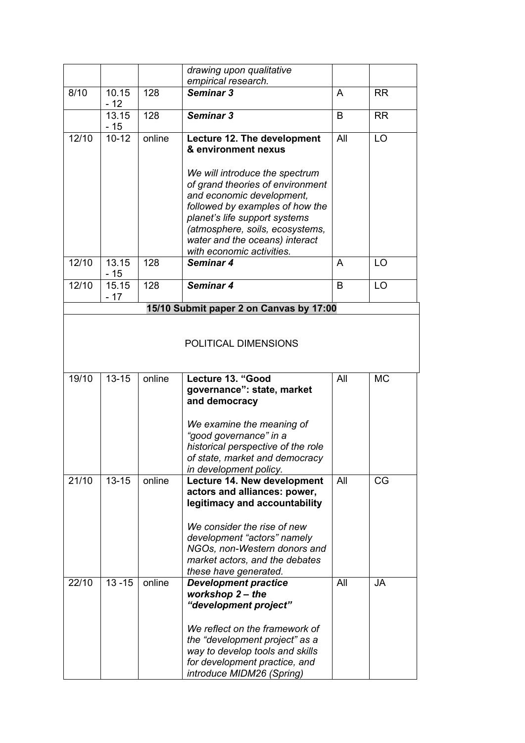|       |           |        | drawing upon qualitative                                         |     |           |
|-------|-----------|--------|------------------------------------------------------------------|-----|-----------|
| 8/10  | 10.15     | 128    | empirical research.<br>Seminar 3                                 | A   | <b>RR</b> |
|       | $-12$     |        |                                                                  |     |           |
|       | 13.15     | 128    | Seminar 3                                                        | B   | <b>RR</b> |
|       | $-15$     |        |                                                                  |     |           |
| 12/10 | $10 - 12$ | online | Lecture 12. The development                                      | All | LO        |
|       |           |        | & environment nexus                                              |     |           |
|       |           |        | We will introduce the spectrum                                   |     |           |
|       |           |        | of grand theories of environment                                 |     |           |
|       |           |        | and economic development,                                        |     |           |
|       |           |        | followed by examples of how the                                  |     |           |
|       |           |        | planet's life support systems                                    |     |           |
|       |           |        | (atmosphere, soils, ecosystems,                                  |     |           |
|       |           |        | water and the oceans) interact                                   |     |           |
| 12/10 | 13.15     | 128    | with economic activities.<br>Seminar 4                           | A   | LO        |
|       | $-15$     |        |                                                                  |     |           |
| 12/10 | 15.15     | 128    | Seminar 4                                                        | B   | LO        |
|       | $-17$     |        |                                                                  |     |           |
|       |           |        | 15/10 Submit paper 2 on Canvas by 17:00                          |     |           |
| 19/10 | $13 - 15$ | online | Lecture 13. "Good<br>governance": state, market<br>and democracy | All | <b>MC</b> |
|       |           |        |                                                                  |     |           |
|       |           |        | We examine the meaning of                                        |     |           |
|       |           |        | "good governance" in a                                           |     |           |
|       |           |        | historical perspective of the role                               |     |           |
|       |           |        | of state, market and democracy                                   |     |           |
| 21/10 | $13 - 15$ | online | in development policy.<br>Lecture 14. New development            | All | CG        |
|       |           |        | actors and alliances: power,                                     |     |           |
|       |           |        | legitimacy and accountability                                    |     |           |
|       |           |        |                                                                  |     |           |
|       |           |        | We consider the rise of new                                      |     |           |
|       |           |        | development "actors" namely<br>NGOs, non-Western donors and      |     |           |
|       |           |        | market actors, and the debates                                   |     |           |
|       |           |        | these have generated.                                            |     |           |
| 22/10 | $13 - 15$ | online | <b>Development practice</b>                                      | All | <b>JA</b> |
|       |           |        | workshop 2 – the                                                 |     |           |
|       |           |        | "development project"                                            |     |           |
|       |           |        | We reflect on the framework of                                   |     |           |
|       |           |        | the "development project" as a                                   |     |           |
|       |           |        | way to develop tools and skills                                  |     |           |
|       |           |        | for development practice, and                                    |     |           |
|       |           |        | introduce MIDM26 (Spring)                                        |     |           |